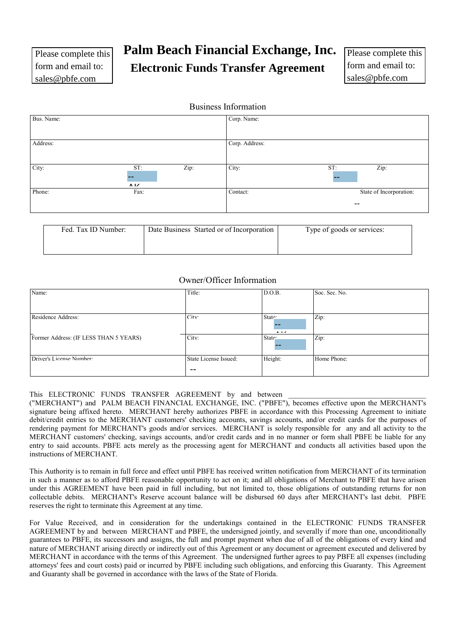# **Palm Beach Financial Exchange, Inc.**

**Electronic Funds Transfer Agreement** 

Please complete this form and email to: sales@pbfe.com

## Business Information

| Bus. Name: |                    |      | Corp. Name:    |                          |
|------------|--------------------|------|----------------|--------------------------|
| Address:   |                    |      | Corp. Address: |                          |
| City:      | ST:                |      |                | ST:                      |
|            | $\Lambda$ I $\chi$ | Zip: | City:          | Zip:<br>$- -$            |
| Phone:     | Fax:               |      | Contact:       | State of Incorporation:  |
|            |                    |      |                | $\overline{\phantom{m}}$ |

| Fed. Tax ID Number: | Date Business Started or of Incorporation | Type of goods or services: |
|---------------------|-------------------------------------------|----------------------------|
|                     |                                           |                            |
|                     |                                           |                            |
|                     |                                           |                            |

## Owner/Officer Information

| Name:                                  | Title:                         | D.O.B.                           | Soc. Sec. No. |
|----------------------------------------|--------------------------------|----------------------------------|---------------|
|                                        |                                |                                  |               |
| Residence Address:                     | City <sup>-</sup>              | State:<br>$\mathbf{A}$ . The set | Zip:          |
| Former Address: (IF LESS THAN 5 YEARS) | City:                          | State:                           | Zip:          |
| Driver's License Number                | State License Issued:<br>$- -$ | Height:                          | Home Phone:   |

### This ELECTRONIC FUNDS TRANSFER AGREEMENT by and between

("MERCHANT") and PALM BEACH FINANCIAL EXCHANGE, INC. ("PBFE"), becomes effective upon the MERCHANT's signature being affixed hereto. MERCHANT hereby authorizes PBFE in accordance with this Processing Agreement to initiate debit/credit entries to the MERCHANT customers' checking accounts, savings accounts, and/or credit cards for the purposes of rendering payment for MERCHANT's goods and/or services. MERCHANT is solely responsible for any and all activity to the MERCHANT customers' checking, savings accounts, and/or credit cards and in no manner or form shall PBFE be liable for any entry to said accounts. PBFE acts merely as the processing agent for MERCHANT and conducts all activities based upon the instructions of MERCHANT.

This Authority is to remain in full force and effect until PBFE has received written notification from MERCHANT of its termination in such a manner as to afford PBFE reasonable opportunity to act on it; and all obligations of Merchant to PBFE that have arisen under this AGREEMENT have been paid in full including, but not limited to, those obligations of outstanding returns for non collectable debits. MERCHANT's Reserve account balance will be disbursed 60 days after MERCHANT's last debit. PBFE reserves the right to terminate this Agreement at any time.

For Value Received, and in consideration for the undertakings contained in the ELECTRONIC FUNDS TRANSFER AGREEMENT by and between MERCHANT and PBFE, the undersigned jointly, and severally if more than one, unconditionally guarantees to PBFE, its successors and assigns, the full and prompt payment when due of all of the obligations of every kind and nature of MERCHANT arising directly or indirectly out of this Agreement or any document or agreement executed and delivered by MERCHANT in accordance with the terms of this Agreement. The undersigned further agrees to pay PBFE all expenses (including attorneys' fees and court costs) paid or incurred by PBFE including such obligations, and enforcing this Guaranty. This Agreement and Guaranty shall be governed in accordance with the laws of the State of Florida.